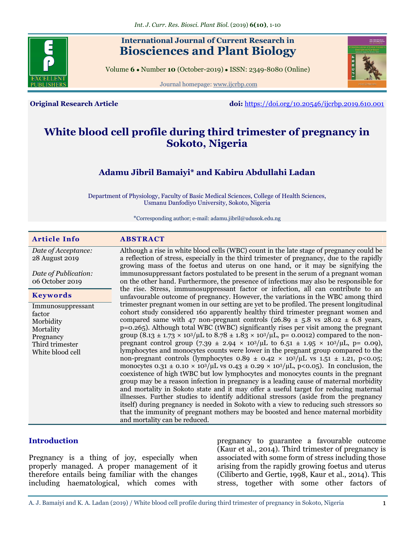

## **International Journal of Current Research in Biosciences and Plant Biology**

Volume **6** ● Number **10** (October-2019) ● ISSN: 2349-8080 (Online)

Journal homepage: [www.ijcrbp.com](http://www.ijcrbp.com/)



**Original Research Article doi:** <https://doi.org/10.20546/ijcrbp.2019.610.001>

# **White blood cell profile during third trimester of pregnancy in Sokoto, Nigeria**

### **Adamu Jibril Bamaiyi\* and Kabiru Abdullahi Ladan**

Department of Physiology, Faculty of Basic Medical Sciences, College of Health Sciences, Usmanu Danfodiyo University, Sokoto, Nigeria

\*Corresponding author; e-mail: adamu.jibril@udusok.edu.ng

| <b>Article Info</b>                                                                                       | <b>ABSTRACT</b>                                                                                                                                                                                                                                                                                                                                                                                                                                                                                                                                                                                                                                                                                                                                                                                                                                                                                                                                                                                                                                                                                                                                                                                                                                                                                                                                                                                                                                                                                         |
|-----------------------------------------------------------------------------------------------------------|---------------------------------------------------------------------------------------------------------------------------------------------------------------------------------------------------------------------------------------------------------------------------------------------------------------------------------------------------------------------------------------------------------------------------------------------------------------------------------------------------------------------------------------------------------------------------------------------------------------------------------------------------------------------------------------------------------------------------------------------------------------------------------------------------------------------------------------------------------------------------------------------------------------------------------------------------------------------------------------------------------------------------------------------------------------------------------------------------------------------------------------------------------------------------------------------------------------------------------------------------------------------------------------------------------------------------------------------------------------------------------------------------------------------------------------------------------------------------------------------------------|
| Date of Acceptance:<br>28 August 2019                                                                     | Although a rise in white blood cells (WBC) count in the late stage of pregnancy could be<br>a reflection of stress, especially in the third trimester of pregnancy, due to the rapidly<br>growing mass of the foetus and uterus on one hand, or it may be signifying the                                                                                                                                                                                                                                                                                                                                                                                                                                                                                                                                                                                                                                                                                                                                                                                                                                                                                                                                                                                                                                                                                                                                                                                                                                |
| Date of Publication:<br>06 October 2019                                                                   | immunosuppressant factors postulated to be present in the serum of a pregnant woman<br>on the other hand. Furthermore, the presence of infections may also be responsible for                                                                                                                                                                                                                                                                                                                                                                                                                                                                                                                                                                                                                                                                                                                                                                                                                                                                                                                                                                                                                                                                                                                                                                                                                                                                                                                           |
| <b>Keywords</b>                                                                                           | the rise. Stress, immunosuppressant factor or infection, all can contribute to an<br>unfavourable outcome of pregnancy. However, the variations in the WBC among third                                                                                                                                                                                                                                                                                                                                                                                                                                                                                                                                                                                                                                                                                                                                                                                                                                                                                                                                                                                                                                                                                                                                                                                                                                                                                                                                  |
| Immunosuppressant<br>factor<br>Morbidity<br>Mortality<br>Pregnancy<br>Third trimester<br>White blood cell | trimester pregnant women in our setting are yet to be profiled. The present longitudinal<br>cohort study considered 160 apparently healthy third trimester pregnant women and<br>compared same with 47 non-pregnant controls ( $26.89 \pm 5.8$ vs $28.02 \pm 6.8$ years,<br>$p = 0.265$ ). Although total WBC (tWBC) significantly rises per visit among the pregnant<br>group $(8.13 \pm 1.73 \times 10^3/\mu L \text{ to } 8.78 \pm 1.83 \times 10^3/\mu L, p = 0.0012)$ compared to the non-<br>pregnant control group (7.39 ± 2.94 × 10 <sup>3</sup> /µL to 6.51 ± 1.95 × 10 <sup>3</sup> /µL, p= 0.09),<br>lymphocytes and monocytes counts were lower in the pregnant group compared to the<br>non-pregnant controls (lymphocytes $0.89 \pm 0.42 \times 10^{3}/\mu$ L vs 1.51 $\pm$ 1.21, p<0.05;<br>monocytes $0.31 \pm 0.10 \times 10^3/\mu$ L vs $0.43 \pm 0.29 \times 10^3/\mu$ L, p<0.05). In conclusion, the<br>coexistence of high tWBC but low lymphocytes and monocytes counts in the pregnant<br>group may be a reason infection in pregnancy is a leading cause of maternal morbidity<br>and mortality in Sokoto state and it may offer a useful target for reducing maternal<br>illnesses. Further studies to identify additional stressors (aside from the pregnancy<br>itself) during pregnancy is needed in Sokoto with a view to reducing such stressors so<br>that the immunity of pregnant mothers may be boosted and hence maternal morbidity<br>and mortality can be reduced. |

#### **Introduction**

Pregnancy is a thing of joy, especially when properly managed. A proper management of it therefore entails being familiar with the changes including haematological, which comes with

pregnancy to guarantee a favourable outcome (Kaur et al., 2014). Third trimester of pregnancy is associated with some form of stress including those arising from the rapidly growing foetus and uterus (Ciliberto and Gertie, 1998, Kaur et al., 2014). This stress, together with some other factors of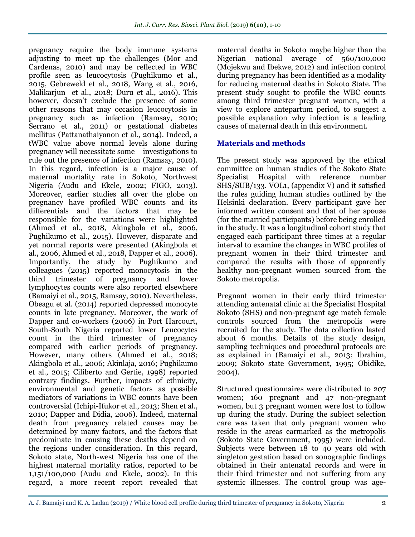pregnancy require the body immune systems adjusting to meet up the challenges (Mor and Cardenas, 2010) and may be reflected in WBC profile seen as leucocytosis (Pughikumo et al., 2015, Gebreweld et al., 2018, Wang et al., 2016, Malikarjun et al., 2018; Duru et al., 2016). This however, doesn't exclude the presence of some other reasons that may occasion leucocytosis in pregnancy such as infection (Ramsay, 2010; Serrano et al., 2011) or gestational diabetes mellitus (Pattanathaiyanon et al., 2014). Indeed, a tWBC value above normal levels alone during pregnancy will necessitate some investigations to rule out the presence of infection (Ramsay, 2010). In this regard, infection is a major cause of maternal mortality rate in Sokoto, Northwest Nigeria (Audu and Ekele, 2002; FIGO, 2013). Moreover, earlier studies all over the globe on pregnancy have profiled WBC counts and its differentials and the factors that may be responsible for the variations were highlighted (Ahmed et al., 2018, Akingbola et al., 2006, Pughikumo et al., 2015). However, disparate and yet normal reports were presented (Akingbola et al., 2006, Ahmed et al., 2018, Dapper et al., 2006). Importantly, the study by Pughikumo and colleagues (2015) reported monocytosis in the third trimester of pregnancy and lower lymphocytes counts were also reported elsewhere (Bamaiyi et al., 2015, Ramsay, 2010). Nevertheless, Obeagu et al. (2014) reported depressed monocyte counts in late pregnancy. Moreover, the work of Dapper and co-workers (2006) in Port Harcourt, South-South Nigeria reported lower Leucocytes count in the third trimester of pregnancy compared with earlier periods of pregnancy. However, many others (Ahmed et al., 2018; Akingbola et al., 2006; Akinlaja, 2016; Pughikumo et al., 2015; Ciliberto and Gertie, 1998) reported contrary findings. Further, impacts of ethnicity, environmental and genetic factors as possible mediators of variations in WBC counts have been controversial (Ichipi-Ifukor et al., 2013; Shen et al., 2010; Dapper and Didia, 2006). Indeed, maternal death from pregnancy related causes may be determined by many factors, and the factors that predominate in causing these deaths depend on the regions under consideration. In this regard, Sokoto state, North-west Nigeria has one of the highest maternal mortality ratios, reported to be 1,151/100,000 (Audu and Ekele, 2002). In this regard, a more recent report revealed that maternal deaths in Sokoto maybe higher than the Nigerian national average of 560/100,000 (Mojekwu and Ibekwe, 2012) and infection control during pregnancy has been identified as a modality for reducing maternal deaths in Sokoto State. The present study sought to profile the WBC counts among third trimester pregnant women, with a view to explore antepartum period, to suggest a possible explanation why infection is a leading causes of maternal death in this environment.

### **Materials and methods**

The present study was approved by the ethical committee on human studies of the Sokoto State Specialist Hospital with reference number SHS/SUB/133. VOL1, (appendix V) and it satisfied the rules guiding human studies outlined by the Helsinki declaration. Every participant gave her informed written consent and that of her spouse (for the married participants) before being enrolled in the study. It was a longitudinal cohort study that engaged each participant three times at a regular interval to examine the changes in WBC profiles of pregnant women in their third trimester and compared the results with those of apparently healthy non-pregnant women sourced from the Sokoto metropolis.

Pregnant women in their early third trimester attending antenatal clinic at the Specialist Hospital Sokoto (SHS) and non-pregnant age match female controls sourced from the metropolis were recruited for the study. The data collection lasted about 6 months. Details of the study design, sampling techniques and procedural protocols are as explained in (Bamaiyi et al., 2013; Ibrahim, 2009; Sokoto state Government, 1995; Obidike, 2004).

Structured questionnaires were distributed to 207 women; 160 pregnant and 47 non-pregnant women, but 3 pregnant women were lost to follow up during the study. During the subject selection care was taken that only pregnant women who reside in the areas earmarked as the metropolis (Sokoto State Government, 1995) were included. Subjects were between 18 to 40 years old with singleton gestation based on sonographic findings obtained in their antenatal records and were in their third trimester and not suffering from any systemic illnesses. The control group was age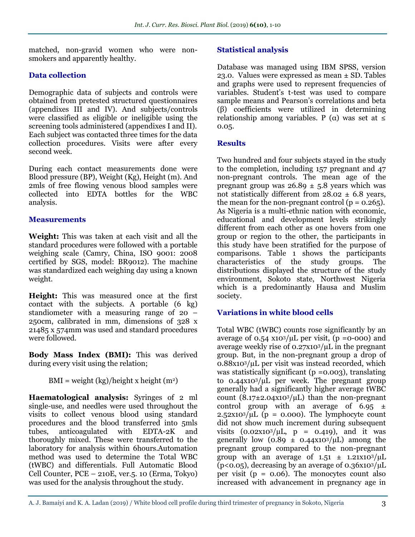matched, non-gravid women who were nonsmokers and apparently healthy.

### **Data collection**

Demographic data of subjects and controls were obtained from pretested structured questionnaires (appendixes III and IV). And subjects/controls were classified as eligible or ineligible using the screening tools administered (appendixes I and II). Each subject was contacted three times for the data collection procedures. Visits were after every second week.

During each contact measurements done were Blood pressure (BP), Weight (Kg), Height (m). And 2mls of free flowing venous blood samples were collected into EDTA bottles for the WBC analysis.

### **Measurements**

**Weight:** This was taken at each visit and all the standard procedures were followed with a portable weighing scale (Camry, China, ISO 9001: 2008 certified by SGS, model: BR9012). The machine was standardized each weighing day using a known weight.

**Height:** This was measured once at the first contact with the subjects. A portable (6 kg) standiometer with a measuring range of 20 – 250cm, calibrated in mm, dimensions of 328 x 21485 x 574mm was used and standard procedures were followed.

**Body Mass Index (BMI):** This was derived during every visit using the relation;

 $BMI = weight (kg)/height x height (m<sup>2</sup>)$ 

**Haematological analysis:** Syringes of 2 ml single-use, and needles were used throughout the visits to collect venous blood using standard procedures and the blood transferred into 5mls tubes, anticoagulated with EDTA-2K and thoroughly mixed. These were transferred to the laboratory for analysis within 6hours.Automation method was used to determine the Total WBC (tWBC) and differentials. Full Automatic Blood Cell Counter, PCE – 210E, ver.5. 10 (Erma, Tokyo) was used for the analysis throughout the study.

### **Statistical analysis**

Database was managed using IBM SPSS, version 23.0. Values were expressed as mean  $\pm$  SD. Tables and graphs were used to represent frequencies of variables. Student's t-test was used to compare sample means and Pearson's correlations and beta (β) coefficients were utilized in determining relationship among variables. P (α) was set at  $\leq$ 0.05.

### **Results**

Two hundred and four subjects stayed in the study to the completion, including 157 pregnant and 47 non-pregnant controls. The mean age of the pregnant group was  $26.89 \pm 5.8$  years which was not statistically different from  $28.02 \pm 6.8$  years, the mean for the non-pregnant control  $(p = 0.265)$ . As Nigeria is a multi-ethnic nation with economic, educational and development levels strikingly different from each other as one hovers from one group or region to the other, the participants in this study have been stratified for the purpose of comparisons. Table 1 shows the participants characteristics of the study groups. The distributions displayed the structure of the study environment, Sokoto state, Northwest Nigeria which is a predominantly Hausa and Muslim society.

### **Variations in white blood cells**

Total WBC (tWBC) counts rose significantly by an average of  $0.54 \times 10^{3}/\mu$ L per visit, (p =0-000) and average weekly rise of 0.27x103/µL in the pregnant group. But, in the non-pregnant group a drop of  $0.88x10^{3}/\mu L$  per visit was instead recorded, which was statistically significant  $(p = 0.003)$ , translating to  $0.44x10^3/\mu L$  per week. The pregnant group generally had a significantly higher average tWBC count  $(8.17\pm2.04x10^3/\mu L)$  than the non-pregnant control group with an average of  $6.95 \pm$  $2.52x10^3/\mu L$  (p = 0.000). The lymphocyte count did not show much increment during subsequent visits  $(0.02 \times 10^3/\mu L, p = 0.419)$ , and it was generally low  $(0.89 \pm 0.44 \times 10^{3}/\mu L)$  among the pregnant group compared to the non-pregnant group with an average of  $1.51 \pm 1.21 \times 10^3/\mu L$ ( $p$ <0.05), decreasing by an average of 0.36x10<sup>3</sup>/ $\mu$ L per visit  $(p = 0.06)$ . The monocytes count also increased with advancement in pregnancy age in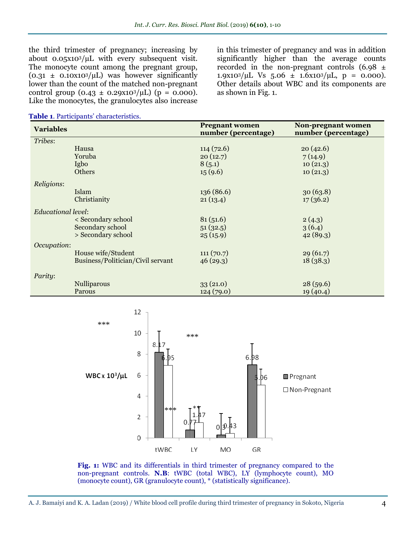the third trimester of pregnancy; increasing by about  $0.05x10^{3}/\mu L$  with every subsequent visit. The monocyte count among the pregnant group,  $(0.31 \pm 0.10 \times 10^{3}/\mu L)$  was however significantly lower than the count of the matched non-pregnant control group  $(0.43 \pm 0.29 \times 10^{3}/\mu L)$  (p = 0.000). Like the monocytes, the granulocytes also increase

in this trimester of pregnancy and was in addition significantly higher than the average counts recorded in the non-pregnant controls  $(6.98 \pm$  $1.9x10^{3}/\mu L$  Vs  $5.06 \pm 1.6x10^{3}/\mu L$ ,  $p = 0.000$ . Other details about WBC and its components are as shown in Fig. 1.

|  |  |  | Table 1. Participants' characteristics. |  |
|--|--|--|-----------------------------------------|--|
|--|--|--|-----------------------------------------|--|

| <b>Variables</b>   |                                   | <b>Pregnant women</b><br>number (percentage) | <b>Non-pregnant women</b><br>number (percentage) |
|--------------------|-----------------------------------|----------------------------------------------|--------------------------------------------------|
| Tribes:            |                                   |                                              |                                                  |
|                    | Hausa                             | 114(72.6)                                    | 20(42.6)                                         |
|                    | Yoruba                            | 20(12.7)                                     | 7(14.9)                                          |
|                    | Igbo                              | 8(5.1)                                       | 10(21.3)                                         |
|                    | Others                            | 15(9.6)                                      | 10(21.3)                                         |
| Religions:         |                                   |                                              |                                                  |
|                    | Islam                             | 136 (86.6)                                   | 30(63.8)                                         |
|                    | Christianity                      | 21(13.4)                                     | 17(36.2)                                         |
| Educational level: |                                   |                                              |                                                  |
|                    | < Secondary school                | 81(51.6)                                     | 2(4.3)                                           |
|                    | Secondary school                  | 51(32.5)                                     | 3(6.4)                                           |
|                    | > Secondary school                | 25(15.9)                                     | 42(89.3)                                         |
| Occupation:        |                                   |                                              |                                                  |
|                    | House wife/Student                | 111(70.7)                                    | 29(61.7)                                         |
|                    | Business/Politician/Civil servant | 46(29.3)                                     | 18(38.3)                                         |
| Parity:            |                                   |                                              |                                                  |
|                    | <b>Nulliparous</b>                | 33(21.0)                                     | 28(59.6)                                         |
|                    | Parous                            | 124(79.0)                                    | 19 (40.4)                                        |



**Fig. 1:** WBC and its differentials in third trimester of pregnancy compared to the non-pregnant controls. **N.B**: tWBC (total WBC), LY (lymphocyte count), MO (monocyte count), GR (granulocyte count), \* (statistically significance).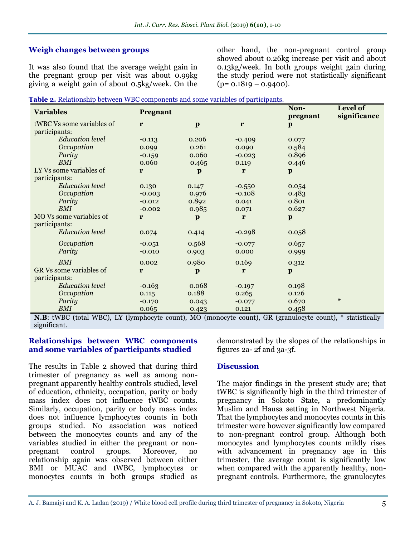### **Weigh changes between groups**

It was also found that the average weight gain in the pregnant group per visit was about 0.99kg giving a weight gain of about 0.5kg/week. On the other hand, the non-pregnant control group showed about 0.26kg increase per visit and about 0.13kg/week. In both groups weight gain during the study period were not statistically significant  $(p= 0.1819 - 0.9400)$ .

| Table 2. Relationship between WBC components and some variables of participants. |  |  |
|----------------------------------------------------------------------------------|--|--|
|----------------------------------------------------------------------------------|--|--|

| <b>Variables</b>          | Pregnant |              |              | Non-         | Level of     |
|---------------------------|----------|--------------|--------------|--------------|--------------|
|                           |          |              |              | pregnant     | significance |
| tWBC Vs some variables of | r        | $\mathbf{p}$ | r            | $\mathbf{p}$ |              |
| participants:             |          |              |              |              |              |
| <b>Education</b> level    | $-0.113$ | 0.206        | $-0.409$     | 0.077        |              |
| Occupation                | 0.099    | 0.261        | 0.090        | 0.584        |              |
| Parity                    | $-0.159$ | 0.060        | $-0.023$     | 0.896        |              |
| <b>BMI</b>                | 0.060    | 0.465        | 0.119        | 0.446        |              |
| LY Vs some variables of   | r        | $\mathbf{p}$ | $\mathbf{r}$ | $\mathbf{p}$ |              |
| participants:             |          |              |              |              |              |
| <b>Education</b> level    | 0.130    | 0.147        | $-0.550$     | 0.054        |              |
| Occupation                | $-0.003$ | 0.976        | $-0.108$     | 0.483        |              |
| Parity                    | $-0.012$ | 0.892        | 0.041        | 0.801        |              |
| BMI                       | $-0.002$ | 0.985        | 0.071        | 0.627        |              |
| MO Vs some variables of   | r        | $\mathbf{p}$ | $\mathbf{r}$ | $\mathbf{p}$ |              |
| participants:             |          |              |              |              |              |
| <b>Education</b> level    | 0.074    | 0.414        | $-0.298$     | 0.058        |              |
| Occupation                | $-0.051$ | 0.568        | $-0.077$     | 0.657        |              |
| Parity                    | $-0.010$ | 0.903        | 0.000        | 0.999        |              |
| <b>BMI</b>                | 0.002    | 0.980        | 0.169        | 0.312        |              |
| GR Vs some variables of   | r        | $\mathbf{p}$ | r            | $\mathbf{p}$ |              |
| participants:             |          |              |              |              |              |
| <b>Education</b> level    | $-0.163$ | 0.068        | $-0.197$     | 0.198        |              |
| Occupation                | 0.115    | 0.188        | 0.265        | 0.126        |              |
| Parity                    | $-0.170$ | 0.043        | $-0.077$     | 0.670        | $\ast$       |
| <b>BMI</b>                | 0.065    | 0.423        | 0.121        | 0.458        |              |

**N.B**: tWBC (total WBC), LY (lymphocyte count), MO (monocyte count), GR (granulocyte count), \* statistically significant.

#### **Relationships between WBC components and some variables of participants studied**

The results in Table 2 showed that during third trimester of pregnancy as well as among nonpregnant apparently healthy controls studied, level of education, ethnicity, occupation, parity or body mass index does not influence tWBC counts. Similarly, occupation, parity or body mass index does not influence lymphocytes counts in both groups studied. No association was noticed between the monocytes counts and any of the variables studied in either the pregnant or nonpregnant control groups. Moreover, no relationship again was observed between either BMI or MUAC and tWBC, lymphocytes or monocytes counts in both groups studied as

demonstrated by the slopes of the relationships in figures 2a- 2f and 3a-3f.

#### **Discussion**

The major findings in the present study are; that tWBC is significantly high in the third trimester of pregnancy in Sokoto State, a predominantly Muslim and Hausa setting in Northwest Nigeria. That the lymphocytes and monocytes counts in this trimester were however significantly low compared to non-pregnant control group. Although both monocytes and lymphocytes counts mildly rises with advancement in pregnancy age in this trimester, the average count is significantly low when compared with the apparently healthy, nonpregnant controls. Furthermore, the granulocytes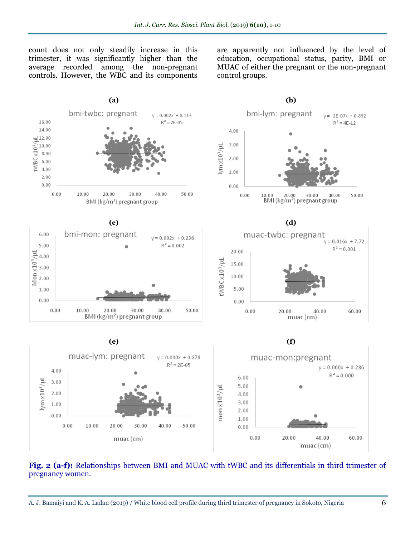count does not only steadily increase in this trimester, it was significantly higher than the average recorded among the non-pregnant controls. However, the WBC and its components

are apparently not influenced by the level of education, occupational status, parity, BMI or MUAC of either the pregnant or the non-pregnant control groups.



**Fig. 2 (a-f):** Relationships between BMI and MUAC with tWBC and its differentials in third trimester of pregnancy women.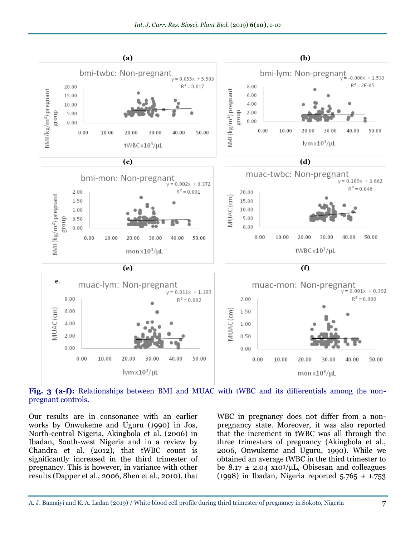

**Fig. 3 (a-f):** Relationships between BMI and MUAC with tWBC and its differentials among the nonpregnant controls.

Our results are in consonance with an earlier works by Onwukeme and Uguru (1990) in Jos, North-central Nigeria, Akingbola et al. (2006) in Ibadan, South-west Nigeria and in a review by Chandra et al. (2012), that tWBC count is significantly increased in the third trimester of pregnancy. This is however, in variance with other results (Dapper et al., 2006, Shen et al., 2010), that WBC in pregnancy does not differ from a nonpregnancy state. Moreover, it was also reported that the increment in tWBC was all through the three trimesters of pregnancy (Akingbola et al., 2006, Onwukeme and Uguru, 1990). While we obtained an average tWBC in the third trimester to be 8.17  $\pm$  2.04 x10<sup>3</sup>/µL, Obisesan and colleagues (1998) in Ibadan, Nigeria reported  $5.765 \pm 1.753$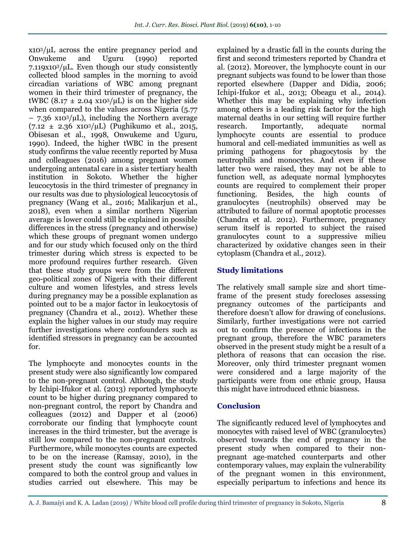x103/µL across the entire pregnancy period and Onwukeme and Uguru (1990) reported  $7.119x10^3/\mu L$ . Even though our study consistently collected blood samples in the morning to avoid circadian variations of WBC among pregnant women in their third trimester of pregnancy, the tWBC (8.17  $\pm$  2.04 x10<sup>3</sup>/µL) is on the higher side when compared to the values across Nigeria (5.77)  $-7.36 \times 10^{3}/\mu L$ , including the Northern average  $(7.12 \pm 2.36 \text{ X}10^3/\mu\text{L})$  (Pughikumo et al., 2015, Obisesan et al., 1998, Onwukeme and Uguru, 1990). Indeed, the higher tWBC in the present study confirms the value recently reported by Musa and colleagues (2016) among pregnant women undergoing antenatal care in a sister tertiary health institution in Sokoto. Whether the higher leucocytosis in the third trimester of pregnancy in our results was due to physiological leucocytosis of pregnancy (Wang et al., 2016; Malikarjun et al., 2018), even when a similar northern Nigerian average is lower could still be explained in possible differences in the stress (pregnancy and otherwise) which these groups of pregnant women undergo and for our study which focused only on the third trimester during which stress is expected to be more profound requires further research. Given that these study groups were from the different geo-political zones of Nigeria with their different culture and women lifestyles, and stress levels during pregnancy may be a possible explanation as pointed out to be a major factor in leukocytosis of pregnancy (Chandra et al., 2012). Whether these explain the higher values in our study may require further investigations where confounders such as identified stressors in pregnancy can be accounted for.

The lymphocyte and monocytes counts in the present study were also significantly low compared to the non-pregnant control. Although, the study by Ichipi-Ifukor et al. (2013) reported lymphocyte count to be higher during pregnancy compared to non-pregnant control, the report by Chandra and colleagues (2012) and Dapper et al (2006) corroborate our finding that lymphocyte count increases in the third trimester, but the average is still low compared to the non-pregnant controls. Furthermore, while monocytes counts are expected to be on the increase (Ramsay, 2010), in the present study the count was significantly low compared to both the control group and values in studies carried out elsewhere. This may be

explained by a drastic fall in the counts during the first and second trimesters reported by Chandra et al. (2012). Moreover, the lymphocyte count in our pregnant subjects was found to be lower than those reported elsewhere (Dapper and Didia, 2006; Ichipi-Ifukor et al., 2013; Obeagu et al., 2014). Whether this may be explaining why infection among others is a leading risk factor for the high maternal deaths in our setting will require further research. Importantly, adequate normal lymphocyte counts are essential to produce humoral and cell-mediated immunities as well as priming pathogens for phagocytosis by the neutrophils and monocytes. And even if these latter two were raised, they may not be able to function well, as adequate normal lymphocytes counts are required to complement their proper functioning. Besides, the high counts of granulocytes (neutrophils) observed may be attributed to failure of normal apoptotic processes (Chandra et al. 2012). Furthermore, pregnancy serum itself is reported to subject the raised granulocytes count to a suppressive milieu characterized by oxidative changes seen in their cytoplasm (Chandra et al., 2012).

### **Study limitations**

The relatively small sample size and short timeframe of the present study forecloses assessing pregnancy outcomes of the participants and therefore doesn't allow for drawing of conclusions. Similarly, further investigations were not carried out to confirm the presence of infections in the pregnant group, therefore the WBC parameters observed in the present study might be a result of a plethora of reasons that can occasion the rise. Moreover, only third trimester pregnant women were considered and a large majority of the participants were from one ethnic group, Hausa this might have introduced ethnic biasness.

### **Conclusion**

The significantly reduced level of lymphocytes and monocytes with raised level of WBC (granulocytes) observed towards the end of pregnancy in the present study when compared to their nonpregnant age-matched counterparts and other contemporary values, may explain the vulnerability of the pregnant women in this environment, especially peripartum to infections and hence its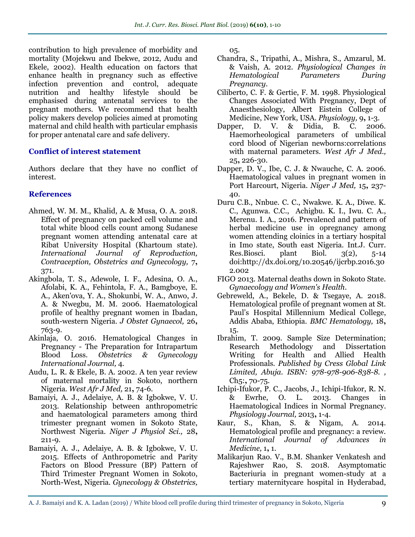contribution to high prevalence of morbidity and mortality (Mojekwu and Ibekwe, 2012, Audu and Ekele, 2002). Health education on factors that enhance health in pregnancy such as effective infection prevention and control, adequate nutrition and healthy lifestyle should be emphasised during antenatal services to the pregnant mothers. We recommend that health policy makers develop policies aimed at promoting maternal and child health with particular emphasis for proper antenatal care and safe delivery.

### **Conflict of interest statement**

Authors declare that they have no conflict of interest.

### **References**

- Ahmed, W. M. M., Khalid, A. & Musa, O. A. 2018. Effect of pregnancy on packed cell volume and total white blood cells count among Sudanese pregnant women attending antenatal care at Ribat University Hospital (Khartoum state). *International Journal of Reproduction, Contraception, Obstetrics and Gynecology,* 7**,** 371.
- Akingbola, T. S., Adewole, I. F., Adesina, O. A., Afolabi, K. A., Fehintola, F. A., Bamgboye, E. A., Aken'ova, Y. A., Shokunbi, W. A., Anwo, J. A. & Nwegbu, M. M. 2006. Haematological profile of healthy pregnant women in Ibadan, south-western Nigeria. *J Obstet Gynaecol,* 26**,** 763-9.
- Akinlaja, O. 2016. Hematological Changes in Pregnancy - The Preparation for Intrapartum Blood Loss. *Obstetrics & Gynecology International Journal,* 4.
- Audu, L. R. & Ekele, B. A. 2002. A ten year review of maternal mortality in Sokoto, northern Nigeria. *West Afr J Med,* 21**,** 74-6.
- Bamaiyi, A. J., Adelaiye, A. B. & Igbokwe, V. U. 2013. Relationship between anthropometric and haematological parameters among third trimester pregnant women in Sokoto State, Northwest Nigeria. *Niger J Physiol Sci.,* 28**,** 211-9.
- Bamaiyi, A. J., Adelaiye, A. B. & Igbokwe, V. U. 2015. Effects of Anthropometric and Parity Factors on Blood Pressure (BP) Pattern of Third Trimester Pregnant Women in Sokoto, North-West, Nigeria. *Gynecology & Obstetrics,*

05.

- Chandra, S., Tripathi, A., Mishra, S., Amzarul, M. & Vaish, A. 2012. *Physiological Changes in Hematological Parameters During Pregnancy*.
- Ciliberto, C. F. & Gertie, F. M. 1998. Physiological Changes Associated With Pregnancy, Dept of Anaesthesiology, Albert Eistein College of Medicine, New York, USA. *Physiology,* 9**,** 1-3.
- Dapper, D. V. & Didia, B. C. 2006. Haemorheological parameters of umbilical cord blood of Nigerian newborns:correlations with maternal parameters. *West Afr J Med.,* 25**,** 226-30.
- Dapper, D. V., Ibe, C. J. & Nwauche, C. A. 2006. Haematological values in pregnant women in Port Harcourt, Nigeria. *Niger J Med,* 15**,** 237- 40.
- Duru C.B., Nnbue. C. C., Nwakwe. K. A., Diwe. K. C., Agunwa. C.C., Achigbu. K. I., Iwu. C. A., Merenu. I. A., 2016. Prevalencd and pattern of herbal medicine use in opregnancy among women attending cloinics in a tertiary hospital in Imo state, South east Nigeria. Int.J. Curr. Res.Biosci. plant Biol. 3(2), 5-14 doi:http://dx.doi.org/10.20546/ijcrbp.2016.30 2.002
- FIGO 2013. Maternal deaths down in Sokoto State. *Gynaecology and Women's Health*.
- Gebreweld, A., Bekele, D. & Tsegaye, A. 2018. Hematological profile of pregnant women at St. Paul's Hospital Millennium Medical College, Addis Ababa, Ethiopia. *BMC Hematology,* 18**,** 15.
- Ibrahim, T. 2009. Sample Size Determination; Research Methodology and Dissertation Writing for Health and Allied Health Professionals. *Published by Cress Global Link Limited, Abuja. ISBN: 978-978-906-838-8. ,* Ch5:**,** 70-75.
- Ichipi-Ifukor, P. C., Jacobs, J., Ichipi-Ifukor, R. N. & Ewrhe, O. L. 2013. Changes in Haematological Indices in Normal Pregnancy. *Physiology Journal,* 2013**,** 1-4.
- Kaur, S., Khan, S. & Nigam, A. 2014. Hematological profile and pregnancy: a review. *International Journal of Advances in Medicine,* 1**,** 1.
- Malikarjun Rao. V., B.M. Shanker Venkatesh and Rajeshwer Rao, S. 2018. Asymptomatic Bacteriuria in pregnant women-study at a tertiary maternitycare hospital in Hyderabad,